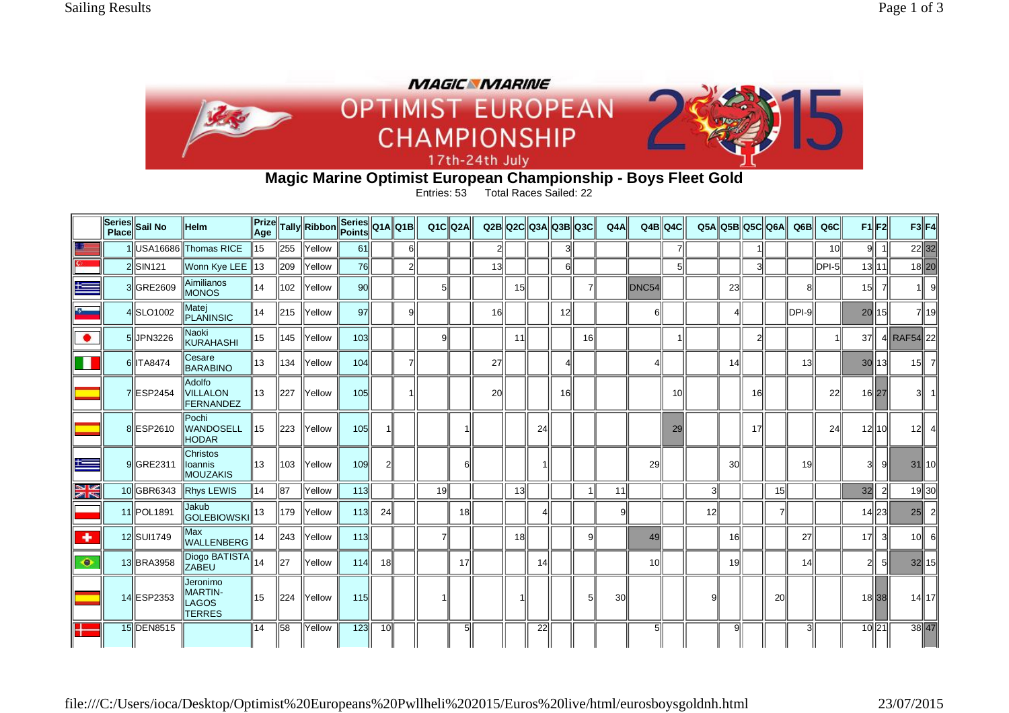

**Magic Marine Optimist European Championship - Boys Fleet Gold** 

Entries: 53 Total Races Sailed: 22

|                          | Place | Series Sail No       | ⊪Helm                                                       |     |                 | Prize Tally Ribbon Series Q1A Q1B |                  |     |                | Q1ClQ2A |    |                 |    | Q2B Q2C Q3A Q3B Q3C |    |           | Q4A             | Q4B <sub>Q4C</sub> |                |                 | Q5A Q5B Q5C Q6A |    |                 | Q6B       | Q6C             |                 | $F1$ $F2$      |            | $F3$ F4         |
|--------------------------|-------|----------------------|-------------------------------------------------------------|-----|-----------------|-----------------------------------|------------------|-----|----------------|---------|----|-----------------|----|---------------------|----|-----------|-----------------|--------------------|----------------|-----------------|-----------------|----|-----------------|-----------|-----------------|-----------------|----------------|------------|-----------------|
|                          |       |                      | 1USA16686 Thomas RICE                                       | 15  | 255             | Yellow                            | 61               |     | 6 <sup>1</sup> |         |    | 2               |    |                     | 3  |           |                 |                    | 71             |                 |                 |    |                 |           | 10 <sup>1</sup> | 9II             |                |            | $\boxed{22}$    |
|                          |       | 2 SIN <sub>121</sub> | Wonn Kye LEE 13                                             |     | 209             | Yellow                            | 76               |     | $\mathcal{P}$  |         |    | 13              |    |                     | F  |           |                 |                    | 5 <sup>1</sup> |                 |                 | κ  |                 |           | $DPI-5$         |                 | $13$    $11$   |            | $18$  20        |
| ts.                      |       | 3 GRE2609            | Aimilianos<br>MONOS                                         | 14  | 102             | <b>IYellow</b>                    | 90               |     |                | 5       |    |                 | 15 |                     |    |           |                 | DNC54              |                |                 | 23 <sup>1</sup> |    |                 | 8         |                 | 15              | 7              |            | -9              |
| -5-                      |       | 4 SLO1002            | Matei<br>PLANINSIC                                          | 114 | 215             | <b>Yellow</b>                     | 97               |     | 9l             |         |    | 16              |    |                     | 12 |           |                 | 6 <sup>1</sup>     |                |                 |                 |    |                 | $ DPI-9 $ |                 |                 | 20 15          |            | 7  19           |
|                          |       | 5 JPN3226            | Naoki<br>KURAHASHI                                          | 15  | 145             | <b>Yellow</b>                     | 10 <sub>3</sub>  |     |                | 9       |    |                 | 11 |                     |    | <b>16</b> |                 |                    |                |                 |                 |    |                 |           |                 | 37              |                | 4 RAF54 22 |                 |
| П                        |       | 6 TA8474             | Cesare<br><b>BARABINO</b>                                   | 113 | 134             | <b>Yellow</b>                     | 104              |     |                |         |    | 27              |    |                     |    |           |                 |                    |                |                 | 14              |    |                 | 13        |                 |                 | 30 13          |            | $15$    7       |
|                          |       | 7 ESP 2454           | Adolfo<br><b>VILLALON</b><br><b>FERNANDEZ</b>               | 13  | 227             | Yellow                            | 105              |     |                |         |    | 20 <sub>l</sub> |    |                     | 16 |           |                 |                    | 10l            |                 |                 | 16 |                 |           | 22              |                 | 16 27          | ЗII        | $\vert$ 1       |
|                          |       | 8 ESP2610            | Pochi<br><b>WANDOSELL</b><br><b>HODAR</b>                   | 15  | 223             | Yellow                            | 105              |     |                |         |    |                 |    | 24                  |    |           |                 |                    | 29             |                 |                 | 17 |                 |           | 24              |                 | 12 l 10        | 12         | -41             |
| Ħ                        |       | 9 GRE2311            | Christos<br>loannis<br>MOUZAKIS                             | ∥13 | 103             | <b>Yellow</b>                     | 109              | 2   |                |         |    |                 |    |                     |    |           |                 | 29                 |                |                 | 30 <sup>l</sup> |    |                 | 19        |                 |                 | 9              |            | $31$ 10         |
| N<br>Ma                  |       | 10 GBR6343           | Rhys LEWIS                                                  | 14  | 87              | Yellow                            | 113              |     |                | 19l     |    |                 | 13 |                     |    |           | 11              |                    |                | 31              |                 |    | 15 <sup>1</sup> |           |                 | 32              | $\overline{2}$ |            | 19 30           |
|                          |       | 11  POL1891          | Jakub<br><b>GOLEBIOWSKI</b>                                 | ∥13 | 179             | <b>Yellow</b>                     | 113              | 24  |                |         | 18 |                 |    |                     |    |           |                 |                    |                | 12 <sub>1</sub> |                 |    |                 |           |                 |                 | $14$  23       | 25         | $\vert$ 2       |
| $\overline{\phantom{a}}$ |       | 12 SUI1749           | lMax<br><b>WALLENBERG</b>                                   | ∥14 | $ 243\rangle$   | <b>IYellow</b>                    | 113              |     |                |         |    |                 | 18 |                     |    | 9         |                 | 49                 |                |                 | 16              |    |                 | 27        |                 | 17 <sup>1</sup> | -31            |            | $10$ 6          |
| $\bullet$                |       | 13 BRA3958           | Diogo BATISTA 14<br>ZABEU                                   |     | 27              | Yellow                            | 114              | 18I |                |         | 17 |                 |    | 14                  |    |           |                 | 10 <sup>1</sup>    |                |                 | 19              |    |                 | 14        |                 |                 | $5 \vert$      |            | $32$   15       |
|                          |       | 14 ESP2353           | Jeronimo<br><b>MARTIN-</b><br><b>LAGOS</b><br><b>TERRES</b> | 15  | $\parallel$ 224 | Yellow                            | <b>115</b>       |     |                |         |    |                 |    |                     |    | 5         | 30 <sup>1</sup> |                    |                |                 |                 |    | 20              |           |                 |                 | 18 38          |            | $14$   17       |
|                          |       | 15 DEN8515           |                                                             | 14  | 58              | Yellow                            | $\overline{123}$ | 10  |                |         | 5  |                 |    | 22                  |    |           |                 | 5                  |                |                 |                 |    |                 | 3         |                 |                 | 10 21          |            | $\frac{38}{47}$ |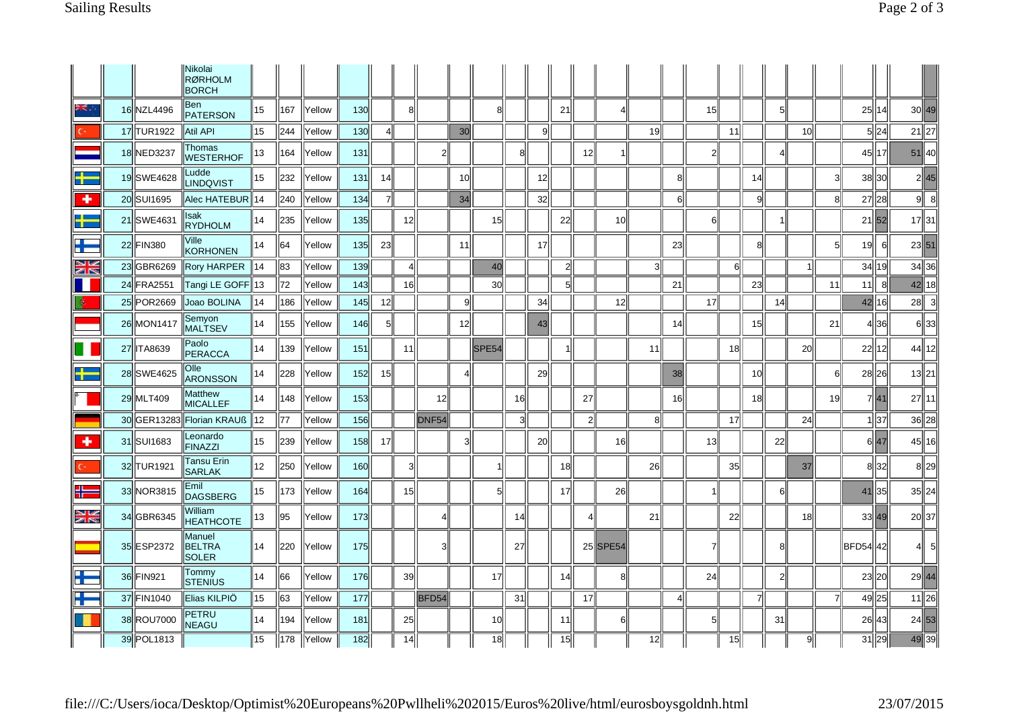|                                  |           |               | Nikolai<br><b>RØRHOLM</b><br><b>BORCH</b> |    |     |        |            |           |                |                   |     |                   |                |                |                |    |          |              |                |                |    |                 |    |                 |                 |          |         |           |
|----------------------------------|-----------|---------------|-------------------------------------------|----|-----|--------|------------|-----------|----------------|-------------------|-----|-------------------|----------------|----------------|----------------|----|----------|--------------|----------------|----------------|----|-----------------|----|-----------------|-----------------|----------|---------|-----------|
| <b>AR</b>                        |           | 16 NZL4496    | Ben<br><b>PATERSON</b>                    | 15 | 167 | Yellow | 130        |           | 8 <sup>1</sup> |                   |     | 8                 |                |                | 21             |    |          |              |                | 15             |    |                 | 5  |                 |                 | 25       | 14      | 30 49     |
|                                  |           | 17 TUR1922    | <b>Atil API</b>                           | 15 | 244 | Yellow | <b>130</b> |           |                |                   | 30  |                   |                | $\overline{9}$ |                |    |          | 19           |                |                | 11 |                 |    | 10 <sup>1</sup> |                 | 51       | 24      | 21  27    |
|                                  |           | 18 NED3237    | Thomas<br><b>WESTERHOF</b>                | 13 | 164 | Yellow | 131        |           |                | $\overline{2}$    |     |                   | 8 <sup>1</sup> |                |                | 12 |          |              |                | $\overline{2}$ |    |                 |    |                 |                 |          | 45 17   | $51$  40  |
|                                  |           | 19 SWE4628    | Ludde<br><b>LINDQVIST</b>                 | 15 | 232 | Yellow | 131        | 14        |                |                   | 10l |                   |                | 12             |                |    |          |              | 8              |                |    | 14              |    |                 |                 |          | 38 30   | 2 45      |
| ۰                                |           | 20 SUI1695    | Alec HATEBUR 14                           |    | 240 | Yellow | 134        | 7         |                |                   | 34  |                   |                | 32             |                |    |          |              | 6              |                |    | 9               |    |                 | 8               |          | 27 28   | 8 <br>9II |
| ╋                                |           | 21 SWE4631    | lsak<br><b>RYDHOLM</b>                    | 14 | 235 | Yellow | 135        |           | 12             |                   |     | 15                |                |                | 22             |    | 10       |              |                | 6              |    |                 |    |                 |                 |          | 21 52   | 17  31    |
| ⊹                                |           | 22 FIN380     | Ville<br>KORHONEN                         | 14 | 64  | Yellow | 135        | 23        |                |                   | 11  |                   |                | 17             |                |    |          |              | 23             |                |    | 8               |    |                 |                 | 19       | 6       | 23 51     |
| N<br>M                           |           | 23 GBR6269    | <b>Rory HARPER</b>                        | 14 | 83  | Yellow | 139        |           | $\vert$        |                   |     | 40                |                |                | $\overline{2}$ |    |          | $\mathbf{3}$ |                |                | 6  |                 |    |                 |                 | 34       | 19      | 34 36     |
| П                                |           | 24 FRA2551    | Tangi LE GOFF 13                          |    | 72  | Yellow | 143        |           | 16             |                   |     | 30                |                |                | 5 <sup>1</sup> |    |          |              | 21             |                |    | 23              |    |                 | 11              | 11       | ା8      | 42 18     |
| ÷.                               |           | 25 POR 2669   | Joao BOLINA                               | 14 | 186 | Yellow | 145        | 12        |                |                   | 9l  |                   |                | 34             |                |    | 12       |              |                | 17             |    |                 | 14 |                 |                 |          | 42 16   | 28<br> 3  |
|                                  |           | 26 MON1417    | Semyon<br><b>MALTSEV</b>                  | 14 | 155 | Yellow | 146        | $5 \vert$ |                |                   | 12  |                   |                | 43             |                |    |          |              | 14             |                |    | 15              |    |                 | 21              |          | 36      | 6  33     |
|                                  |           | 27 TA8639     | Paolo<br>PERACCA                          | 14 | 139 | Yellow | 151        |           | 11             |                   |     | SPE <sub>54</sub> |                |                |                |    |          | 11           |                |                | 18 |                 |    | 20 <sub>l</sub> |                 | 22       | 12      | 44 12     |
| 25                               |           | 28 SWE4625    | Olle<br><b>ARONSSON</b>                   | 14 | 228 | Yellow | 152        | 15        |                |                   |     |                   |                | 29             |                |    |          |              | 38             |                |    | 10 <sup>1</sup> |    |                 | 6               |          | 28 26   | 13  21    |
|                                  |           | 29 MLT409     | Matthew<br><b>MICALLEF</b>                | 14 | 148 | Yellow | 153        |           |                | 12 <sup>1</sup>   |     |                   | 16l            |                |                | 27 |          |              | 16             |                |    | 18              |    |                 | 19 <sup>1</sup> |          | 7 41    | 27 11     |
|                                  |           |               | 30 GER13283 Florian KRAUß                 | 12 | 77  | Yellow | 156        |           |                | DNF <sub>54</sub> |     |                   | $\overline{3}$ |                |                | 2  |          | 8            |                |                | 17 |                 |    | 24              |                 |          | $1$  37 | 36  28    |
| ٠                                |           | 31 SUI1683    | Leonardo<br><b>FINAZZI</b>                | 15 | 239 | Yellow | 158        | 17        |                |                   | 3   |                   |                | 20             |                |    | 16       |              |                | 13             |    |                 | 22 |                 |                 |          | 6 47    | 45 16     |
| $\mathfrak{c}$                   |           | 32 TUR1921    | Tansu Erin<br><b>SARLAK</b>               | 12 | 250 | Yellow | 160        |           | 3 <sup>1</sup> |                   |     | $\mathbf{1}$      |                |                | 18             |    |          | 26           |                |                | 35 |                 |    | 37              |                 |          | 8 32    | 8 29      |
|                                  |           | 33 NOR3815    | Emil<br>DAGSBERG                          | 15 | 173 | Yellow | 164        |           | 15             |                   |     | 5                 |                |                | 17             |    | 26       |              |                |                |    |                 | 6  |                 |                 | 41       | 35      | 35  24    |
| <b>Barrist</b><br><b>SPI PRE</b> |           | 34 GBR6345    | William<br><b>HEATHCOTE</b>               | 13 | 95  | Yellow | 173        |           |                | 4                 |     |                   | 14             |                |                | 4  |          | 21           |                |                | 22 |                 |    | 18              |                 |          | 33 49   | 20 37     |
|                                  |           | 35 ESP2372    | Manuel<br><b>BELTRA</b><br><b>SOLER</b>   | 14 | 220 | Yellow | 175        |           |                | 31                |     |                   | 27             |                |                |    | 25 SPE54 |              |                | $\overline{7}$ |    |                 | 8  |                 |                 | BFD54 42 |         | $5 \vert$ |
| ╋                                | <b>36</b> | <b>FIN921</b> | Tommy<br><b>ISTENIUS</b>                  | 14 | 66  | Yellow | <b>176</b> |           | 39             |                   |     | 17                |                |                | 14             |    | 8        |              |                | 24             |    |                 | 2  |                 |                 | 23       | l20     | 29 44     |
| ₩                                |           | 37 FIN1040    | İElias KILPIÖ                             | 15 | 63  | Yellow | 177        |           |                | BFD54             |     |                   | 31             |                |                | 17 |          |              | $\overline{A}$ |                |    | 7               |    |                 |                 | 49       | 25      | $11$  26  |
|                                  |           | 38 ROU7000    | PETRU<br><b>NEAGU</b>                     | 14 | 194 | Yellow | 181        |           | 25             |                   |     | 10                |                |                | 11             |    | 6        |              |                | 5              |    |                 | 31 |                 |                 | 26       | 43      | 53 <br>24 |
|                                  |           | 39 POL1813    |                                           | 15 | 178 | Yellow | 182        |           | 14             |                   |     | 18                |                |                | 15             |    |          | 12           |                |                | 15 |                 |    | 9               |                 |          | 31 29   | 49 39     |